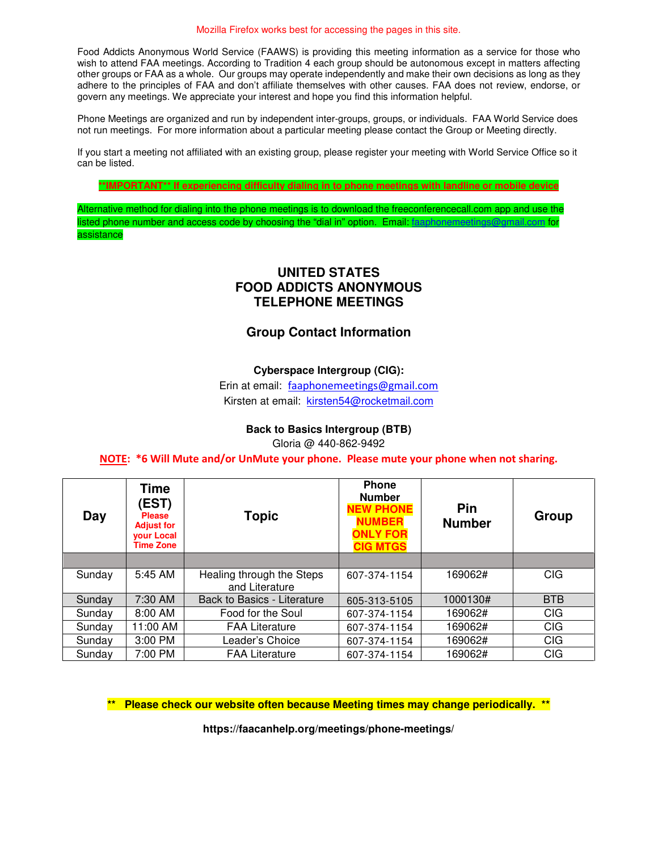Food Addicts Anonymous World Service (FAAWS) is providing this meeting information as a service for those who wish to attend FAA meetings. According to Tradition 4 each group should be autonomous except in matters affecting other groups or FAA as a whole. Our groups may operate independently and make their own decisions as long as they adhere to the principles of FAA and don't affiliate themselves with other causes. FAA does not review, endorse, or govern any meetings. We appreciate your interest and hope you find this information helpful.

Phone Meetings are organized and run by independent inter-groups, groups, or individuals. FAA World Service does not run meetings. For more information about a particular meeting please contact the Group or Meeting directly.

If you start a meeting not affiliated with an existing group, please register your meeting with World Service Office so it can be listed.

**\*\*IMPORTANT\*\* If experiencing difficulty dialing in to phone meetings with landline or mobile device**

Alternative method for dialing into the phone meetings is to download the freeconferencecall.com app and use the isted phone number and access code by choosing the "dial in" option. Email: [faaphonemeetings@gmail.com](mailto:faaphonemeetings@gmail.com) for assistance

### **UNITED STATES FOOD ADDICTS ANONYMOUS TELEPHONE MEETINGS**

# **Group Contact Information**

#### **Cyberspace Intergroup (CIG):**

Erin at email:[faaphonemeetings@gmail.com](mailto:faaphonemeetings@gmail.com) Kirsten at email: [kirsten54@rocketmail.com](mailto:kirsten54@rocketmail.com)

#### **Back to Basics Intergroup (BTB)**

Gloria @ 440-862-9492

#### **NOTE: \*6 Will Mute and/or UnMute your phone. Please mute your phone when not sharing.**

| Day    | <b>Time</b><br>(EST)<br><b>Please</b><br><b>Adjust for</b><br><b>your Local</b><br><b>Time Zone</b> | <b>Topic</b>                                | <b>Phone</b><br><b>Number</b><br><b>NEW PHONE</b><br><b>NUMBER</b><br><b>ONLY FOR</b><br><b>CIG MTGS</b> | Pin<br><b>Number</b> | Group      |
|--------|-----------------------------------------------------------------------------------------------------|---------------------------------------------|----------------------------------------------------------------------------------------------------------|----------------------|------------|
|        |                                                                                                     |                                             |                                                                                                          |                      |            |
| Sunday | 5:45 AM                                                                                             | Healing through the Steps<br>and Literature | 607-374-1154                                                                                             | 169062#              | <b>CIG</b> |
| Sunday | 7:30 AM                                                                                             | Back to Basics - Literature                 | 605-313-5105                                                                                             | 1000130#             | <b>BTB</b> |
| Sunday | 8:00 AM                                                                                             | Food for the Soul                           | 607-374-1154                                                                                             | 169062#              | <b>CIG</b> |
| Sunday | 11:00 AM                                                                                            | <b>FAA Literature</b>                       | 607-374-1154                                                                                             | 169062#              | <b>CIG</b> |
| Sunday | 3:00 PM                                                                                             | Leader's Choice                             | 607-374-1154                                                                                             | 169062#              | <b>CIG</b> |
| Sunday | 7:00 PM                                                                                             | <b>FAA Literature</b>                       | 607-374-1154                                                                                             | 169062#              | <b>CIG</b> |

**\*\* Please check our website often because Meeting times may change periodically. \*\***

**https://faacanhelp.org/meetings/phone-meetings/**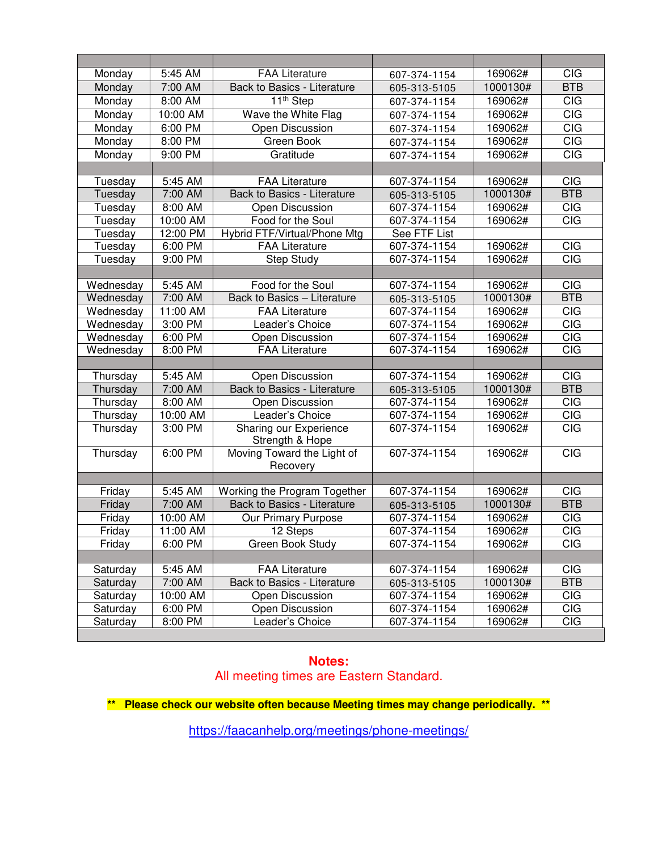| Monday    | 5:45 AM  | <b>FAA Literature</b>                     | 607-374-1154 | 169062#  | <b>CIG</b> |
|-----------|----------|-------------------------------------------|--------------|----------|------------|
| Monday    | 7:00 AM  | Back to Basics - Literature               | 605-313-5105 | 1000130# | <b>BTB</b> |
| Monday    | 8:00 AM  | 11 <sup>th</sup> Step<br>607-374-1154     |              | 169062#  | <b>CIG</b> |
| Monday    | 10:00 AM | Wave the White Flag<br>607-374-1154       |              | 169062#  | CIG        |
| Monday    | 6:00 PM  | Open Discussion                           | 607-374-1154 | 169062#  | <b>CIG</b> |
| Monday    | 8:00 PM  | Green Book                                | 607-374-1154 | 169062#  | CIG        |
| Monday    | 9:00 PM  | Gratitude<br>607-374-1154                 |              | 169062#  | <b>CIG</b> |
|           |          |                                           |              |          |            |
| Tuesday   | 5:45 AM  | <b>FAA Literature</b>                     | 607-374-1154 | 169062#  | <b>CIG</b> |
| Tuesday   | 7:00 AM  | Back to Basics - Literature               | 605-313-5105 | 1000130# | <b>BTB</b> |
| Tuesday   | 8:00 AM  | Open Discussion                           | 607-374-1154 | 169062#  | <b>CIG</b> |
| Tuesday   | 10:00 AM | Food for the Soul                         | 607-374-1154 | 169062#  | <b>CIG</b> |
| Tuesday   | 12:00 PM | Hybrid FTF/Virtual/Phone Mtg              | See FTF List |          |            |
| Tuesday   | 6:00 PM  | <b>FAA Literature</b>                     | 607-374-1154 | 169062#  | <b>CIG</b> |
| Tuesday   | 9:00 PM  | <b>Step Study</b>                         | 607-374-1154 | 169062#  | <b>CIG</b> |
|           |          |                                           |              |          |            |
| Wednesday | 5:45 AM  | Food for the Soul                         | 607-374-1154 | 169062#  | <b>CIG</b> |
| Wednesday | 7:00 AM  | Back to Basics - Literature               | 605-313-5105 | 1000130# | <b>BTB</b> |
| Wednesday | 11:00 AM | <b>FAA Literature</b>                     | 607-374-1154 | 169062#  | <b>CIG</b> |
| Wednesday | 3:00 PM  | Leader's Choice                           | 607-374-1154 | 169062#  | CIG        |
| Wednesday | 6:00 PM  | Open Discussion                           | 607-374-1154 | 169062#  | <b>CIG</b> |
| Wednesday | 8:00 PM  | <b>FAA Literature</b>                     | 607-374-1154 | 169062#  | CIG        |
|           |          |                                           |              |          |            |
| Thursday  | 5:45 AM  | Open Discussion                           | 607-374-1154 | 169062#  | <b>CIG</b> |
| Thursday  | 7:00 AM  | Back to Basics - Literature               | 605-313-5105 | 1000130# | <b>BTB</b> |
| Thursday  | 8:00 AM  | Open Discussion                           | 607-374-1154 | 169062#  | <b>CIG</b> |
| Thursday  | 10:00 AM | Leader's Choice                           | 607-374-1154 | 169062#  | <b>CIG</b> |
| Thursday  | 3:00 PM  | Sharing our Experience<br>Strength & Hope | 607-374-1154 | 169062#  | <b>CIG</b> |
| Thursday  | 6:00 PM  | Moving Toward the Light of                | 607-374-1154 | 169062#  | CIG        |
|           |          | Recovery                                  |              |          |            |
|           |          |                                           |              |          |            |
| Friday    | 5:45 AM  | Working the Program Together              | 607-374-1154 | 169062#  | <b>CIG</b> |
| Friday    | 7:00 AM  | Back to Basics - Literature               | 605-313-5105 | 1000130# | <b>BTB</b> |
| Friday    | 10:00 AM | Our Primary Purpose                       | 607-374-1154 | 169062#  | <b>CIG</b> |
| Friday    | 11:00 AM | 12 Steps                                  | 607-374-1154 | 169062#  | <b>CIG</b> |
| Friday    | 6:00 PM  | Green Book Study                          | 607-374-1154 | 169062#  | <b>CIG</b> |
|           |          |                                           |              |          |            |
| Saturday  | 5:45 AM  | <b>FAA Literature</b>                     | 607-374-1154 | 169062#  | <b>CIG</b> |
| Saturday  | 7:00 AM  | Back to Basics - Literature               | 605-313-5105 | 1000130# | <b>BTB</b> |
| Saturday  | 10:00 AM | Open Discussion                           | 607-374-1154 | 169062#  | <b>CIG</b> |
| Saturday  | 6:00 PM  | Open Discussion                           | 607-374-1154 | 169062#  | <b>CIG</b> |
| Saturday  | 8:00 PM  | Leader's Choice                           | 607-374-1154 | 169062#  | <b>CIG</b> |
|           |          |                                           |              |          |            |

### **Notes:** All meeting times are Eastern Standard.

**\*\* Please check our website often because Meeting times may change periodically. \*\***

<https://faacanhelp.org/meetings/phone-meetings/>